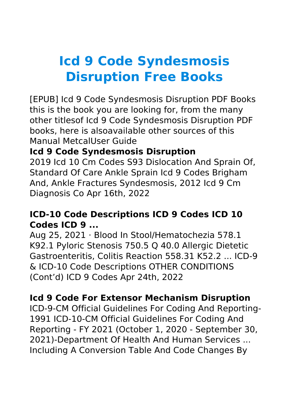# **Icd 9 Code Syndesmosis Disruption Free Books**

[EPUB] Icd 9 Code Syndesmosis Disruption PDF Books this is the book you are looking for, from the many other titlesof Icd 9 Code Syndesmosis Disruption PDF books, here is alsoavailable other sources of this Manual MetcalUser Guide

# **Icd 9 Code Syndesmosis Disruption**

2019 Icd 10 Cm Codes S93 Dislocation And Sprain Of, Standard Of Care Ankle Sprain Icd 9 Codes Brigham And, Ankle Fractures Syndesmosis, 2012 Icd 9 Cm Diagnosis Co Apr 16th, 2022

# **ICD-10 Code Descriptions ICD 9 Codes ICD 10 Codes ICD 9 ...**

Aug 25, 2021 · Blood In Stool/Hematochezia 578.1 K92.1 Pyloric Stenosis 750.5 Q 40.0 Allergic Dietetic Gastroenteritis, Colitis Reaction 558.31 K52.2 ... ICD-9 & ICD-10 Code Descriptions OTHER CONDITIONS (Cont'd) ICD 9 Codes Apr 24th, 2022

## **Icd 9 Code For Extensor Mechanism Disruption**

ICD-9-CM Official Guidelines For Coding And Reporting-1991 ICD-10-CM Official Guidelines For Coding And Reporting - FY 2021 (October 1, 2020 - September 30, 2021)-Department Of Health And Human Services ... Including A Conversion Table And Code Changes By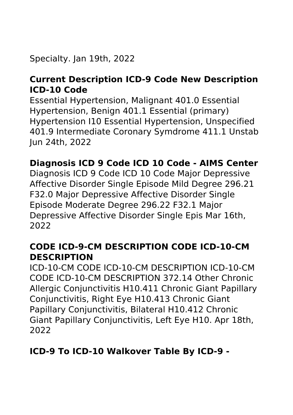# Specialty. Jan 19th, 2022

## **Current Description ICD-9 Code New Description ICD-10 Code**

Essential Hypertension, Malignant 401.0 Essential Hypertension, Benign 401.1 Essential (primary) Hypertension I10 Essential Hypertension, Unspecified 401.9 Intermediate Coronary Symdrome 411.1 Unstab Jun 24th, 2022

## **Diagnosis ICD 9 Code ICD 10 Code - AIMS Center**

Diagnosis ICD 9 Code ICD 10 Code Major Depressive Affective Disorder Single Episode Mild Degree 296.21 F32.0 Major Depressive Affective Disorder Single Episode Moderate Degree 296.22 F32.1 Major Depressive Affective Disorder Single Epis Mar 16th, 2022

### **CODE ICD-9-CM DESCRIPTION CODE ICD-10-CM DESCRIPTION**

ICD-10-CM CODE ICD-10-CM DESCRIPTION ICD-10-CM CODE ICD-10-CM DESCRIPTION 372.14 Other Chronic Allergic Conjunctivitis H10.411 Chronic Giant Papillary Conjunctivitis, Right Eye H10.413 Chronic Giant Papillary Conjunctivitis, Bilateral H10.412 Chronic Giant Papillary Conjunctivitis, Left Eye H10. Apr 18th, 2022

# **ICD-9 To ICD-10 Walkover Table By ICD-9 -**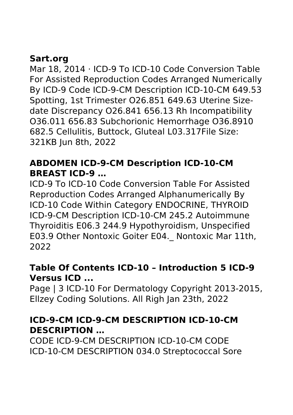# **Sart.org**

Mar 18, 2014 · ICD-9 To ICD-10 Code Conversion Table For Assisted Reproduction Codes Arranged Numerically By ICD-9 Code ICD-9-CM Description ICD-10-CM 649.53 Spotting, 1st Trimester O26.851 649.63 Uterine Sizedate Discrepancy O26.841 656.13 Rh Incompatibility O36.011 656.83 Subchorionic Hemorrhage O36.8910 682.5 Cellulitis, Buttock, Gluteal L03.317File Size: 321KB Jun 8th, 2022

# **ABDOMEN ICD-9-CM Description ICD-10-CM BREAST ICD-9 …**

ICD-9 To ICD-10 Code Conversion Table For Assisted Reproduction Codes Arranged Alphanumerically By ICD-10 Code Within Category ENDOCRINE, THYROID ICD-9-CM Description ICD-10-CM 245.2 Autoimmune Thyroiditis E06.3 244.9 Hypothyroidism, Unspecified E03.9 Other Nontoxic Goiter E04.\_ Nontoxic Mar 11th, 2022

#### **Table Of Contents ICD-10 – Introduction 5 ICD-9 Versus ICD ...**

Page | 3 ICD-10 For Dermatology Copyright 2013-2015, Ellzey Coding Solutions. All Righ Jan 23th, 2022

## **ICD-9-CM ICD-9-CM DESCRIPTION ICD-10-CM DESCRIPTION …**

CODE ICD-9-CM DESCRIPTION ICD-10-CM CODE ICD-10-CM DESCRIPTION 034.0 Streptococcal Sore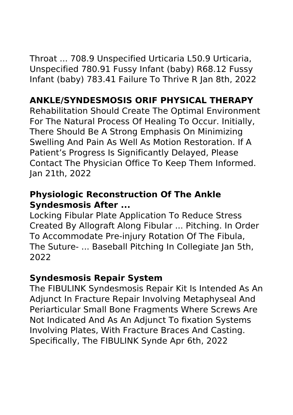Throat ... 708.9 Unspecified Urticaria L50.9 Urticaria, Unspecified 780.91 Fussy Infant (baby) R68.12 Fussy Infant (baby) 783.41 Failure To Thrive R Jan 8th, 2022

# **ANKLE/SYNDESMOSIS ORIF PHYSICAL THERAPY**

Rehabilitation Should Create The Optimal Environment For The Natural Process Of Healing To Occur. Initially, There Should Be A Strong Emphasis On Minimizing Swelling And Pain As Well As Motion Restoration. If A Patient's Progress Is Significantly Delayed, Please Contact The Physician Office To Keep Them Informed. Jan 21th, 2022

## **Physiologic Reconstruction Of The Ankle Syndesmosis After ...**

Locking Fibular Plate Application To Reduce Stress Created By Allograft Along Fibular ... Pitching. In Order To Accommodate Pre-injury Rotation Of The Fibula, The Suture- ... Baseball Pitching In Collegiate Jan 5th, 2022

#### **Syndesmosis Repair System**

The FIBULINK Syndesmosis Repair Kit Is Intended As An Adjunct In Fracture Repair Involving Metaphyseal And Periarticular Small Bone Fragments Where Screws Are Not Indicated And As An Adjunct To fixation Systems Involving Plates, With Fracture Braces And Casting. Specifically, The FIBULINK Synde Apr 6th, 2022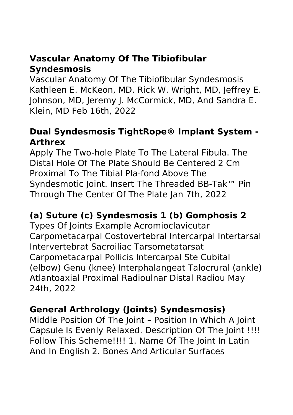# **Vascular Anatomy Of The Tibiofibular Syndesmosis**

Vascular Anatomy Of The Tibiofibular Syndesmosis Kathleen E. McKeon, MD, Rick W. Wright, MD, Jeffrey E. Johnson, MD, Jeremy J. McCormick, MD, And Sandra E. Klein, MD Feb 16th, 2022

# **Dual Syndesmosis TightRope® Implant System - Arthrex**

Apply The Two-hole Plate To The Lateral Fibula. The Distal Hole Of The Plate Should Be Centered 2 Cm Proximal To The Tibial Pla-fond Above The Syndesmotic Joint. Insert The Threaded BB-Tak™ Pin Through The Center Of The Plate Jan 7th, 2022

# **(a) Suture (c) Syndesmosis 1 (b) Gomphosis 2**

Types Of Joints Example Acromioclavicutar Carpometacarpal Costovertebral Intercarpal Intertarsal Intervertebrat Sacroiliac Tarsometatarsat Carpometacarpal Pollicis Intercarpal Ste Cubital (elbow) Genu (knee) Interphalangeat Talocrural (ankle) Atlantoaxial Proximal Radioulnar Distal Radiou May 24th, 2022

# **General Arthrology (Joints) Syndesmosis)**

Middle Position Of The Joint – Position In Which A Joint Capsule Is Evenly Relaxed. Description Of The Joint !!!! Follow This Scheme!!!! 1. Name Of The Joint In Latin And In English 2. Bones And Articular Surfaces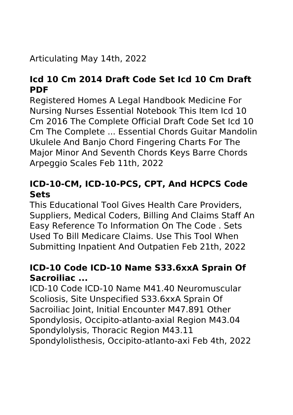# Articulating May 14th, 2022

# **Icd 10 Cm 2014 Draft Code Set Icd 10 Cm Draft PDF**

Registered Homes A Legal Handbook Medicine For Nursing Nurses Essential Notebook This Item Icd 10 Cm 2016 The Complete Official Draft Code Set Icd 10 Cm The Complete ... Essential Chords Guitar Mandolin Ukulele And Banjo Chord Fingering Charts For The Major Minor And Seventh Chords Keys Barre Chords Arpeggio Scales Feb 11th, 2022

# **ICD-10-CM, ICD-10-PCS, CPT, And HCPCS Code Sets**

This Educational Tool Gives Health Care Providers, Suppliers, Medical Coders, Billing And Claims Staff An Easy Reference To Information On The Code . Sets Used To Bill Medicare Claims. Use This Tool When Submitting Inpatient And Outpatien Feb 21th, 2022

# **ICD-10 Code ICD-10 Name S33.6xxA Sprain Of Sacroiliac ...**

ICD-10 Code ICD-10 Name M41.40 Neuromuscular Scoliosis, Site Unspecified S33.6xxA Sprain Of Sacroiliac Joint, Initial Encounter M47.891 Other Spondylosis, Occipito-atlanto-axial Region M43.04 Spondylolysis, Thoracic Region M43.11 Spondylolisthesis, Occipito-atlanto-axi Feb 4th, 2022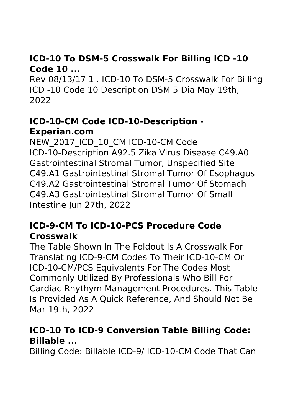# **ICD-10 To DSM-5 Crosswalk For Billing ICD -10 Code 10 ...**

Rev 08/13/17 1 . ICD-10 To DSM-5 Crosswalk For Billing ICD -10 Code 10 Description DSM 5 Dia May 19th, 2022

## **ICD-10-CM Code ICD-10-Description - Experian.com**

NEW 2017 ICD 10 CM ICD-10-CM Code ICD-10-Description A92.5 Zika Virus Disease C49.A0 Gastrointestinal Stromal Tumor, Unspecified Site C49.A1 Gastrointestinal Stromal Tumor Of Esophagus C49.A2 Gastrointestinal Stromal Tumor Of Stomach C49.A3 Gastrointestinal Stromal Tumor Of Small Intestine Jun 27th, 2022

## **ICD-9-CM To ICD-10-PCS Procedure Code Crosswalk**

The Table Shown In The Foldout Is A Crosswalk For Translating ICD-9-CM Codes To Their ICD-10-CM Or ICD-10-CM/PCS Equivalents For The Codes Most Commonly Utilized By Professionals Who Bill For Cardiac Rhythym Management Procedures. This Table Is Provided As A Quick Reference, And Should Not Be Mar 19th, 2022

## **ICD-10 To ICD-9 Conversion Table Billing Code: Billable ...**

Billing Code: Billable ICD-9/ ICD-10-CM Code That Can